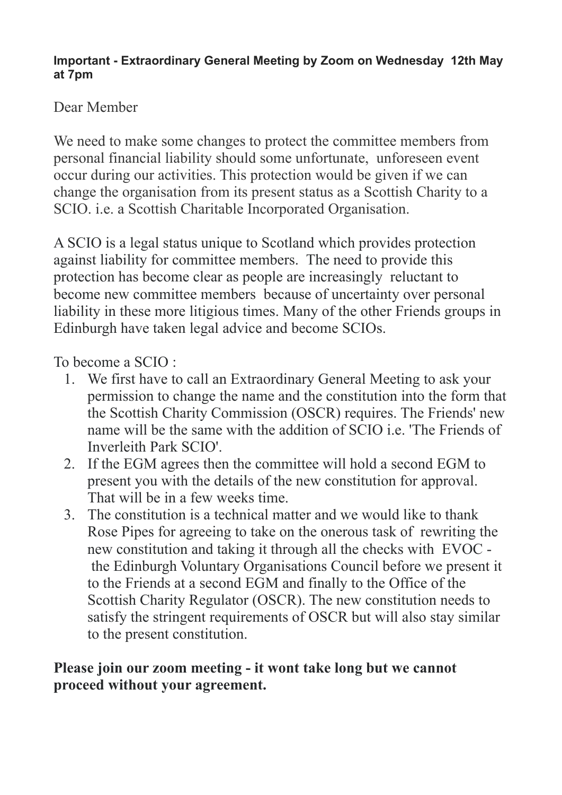## **Important - Extraordinary General Meeting by Zoom on Wednesday 12th May at 7pm**

## Dear Member

We need to make some changes to protect the committee members from personal financial liability should some unfortunate, unforeseen event occur during our activities. This protection would be given if we can change the organisation from its present status as a Scottish Charity to a SCIO. i.e. a Scottish Charitable Incorporated Organisation.

A SCIO is a legal status unique to Scotland which provides protection against liability for committee members. The need to provide this protection has become clear as people are increasingly reluctant to become new committee members because of uncertainty over personal liability in these more litigious times. Many of the other Friends groups in Edinburgh have taken legal advice and become SCIOs.

To become a SCIO :

- 1. We first have to call an Extraordinary General Meeting to ask your permission to change the name and the constitution into the form that the Scottish Charity Commission (OSCR) requires. The Friends' new name will be the same with the addition of SCIO i.e. The Friends of Inverleith Park SCIO'.
- 2. If the EGM agrees then the committee will hold a second EGM to present you with the details of the new constitution for approval. That will be in a few weeks time.
- 3. The constitution is a technical matter and we would like to thank Rose Pipes for agreeing to take on the onerous task of rewriting the new constitution and taking it through all the checks with EVOC the Edinburgh Voluntary Organisations Council before we present it to the Friends at a second EGM and finally to the Office of the Scottish Charity Regulator (OSCR). The new constitution needs to satisfy the stringent requirements of OSCR but will also stay similar to the present constitution.

## **Please join our zoom meeting - it wont take long but we cannot proceed without your agreement.**